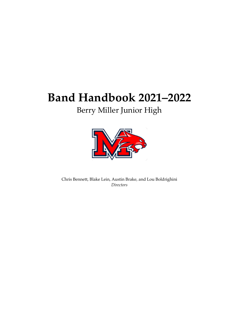# **Band Handbook 2021–2022**

# Berry Miller Junior High



Chris Bennett, Blake Lein, Austin Brake, and Lou Boldrighini *Directors*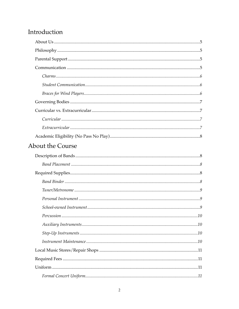## Introduction

| About the Course |  |
|------------------|--|
|                  |  |
|                  |  |
|                  |  |
|                  |  |
|                  |  |
|                  |  |
|                  |  |
|                  |  |
|                  |  |
|                  |  |
|                  |  |
|                  |  |
|                  |  |
|                  |  |
|                  |  |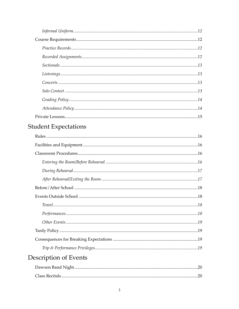| $\label{prop:main} \textit{Listening} \textit{s} \textit{} \textit{} \textit{} \textit{} \textit{} \textit{} \textit{} \textit{} \textit{} \textit{} \textit{} \textit{} \textit{} \textit{} \textit{} \textit{} \textit{} \textit{} \textit{} \textit{} \textit{} \textit{} \textit{} \textit{} \textit{} \textit{} \textit{} \textit{} \textit{} \textit{} \textit{} \textit{} \textit{} \text$ |  |
|---------------------------------------------------------------------------------------------------------------------------------------------------------------------------------------------------------------------------------------------------------------------------------------------------------------------------------------------------------------------------------------------------|--|
|                                                                                                                                                                                                                                                                                                                                                                                                   |  |
|                                                                                                                                                                                                                                                                                                                                                                                                   |  |
|                                                                                                                                                                                                                                                                                                                                                                                                   |  |
|                                                                                                                                                                                                                                                                                                                                                                                                   |  |
|                                                                                                                                                                                                                                                                                                                                                                                                   |  |

# **Student Expectations**

| Description of Events |  |
|-----------------------|--|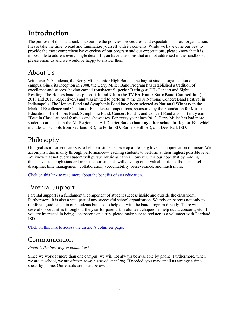## <span id="page-4-0"></span>**Introduction**

The purpose of this handbook is to outline the policies, procedures, and expectations of our organization. Please take the time to read and familiarize yourself with its contents. While we have done our best to provide the most comprehensive overview of our program and our expectations, please know that it is impossible to address every single detail. If you have questions that are not addressed in the handbook, please email us and we would be happy to answer them.

## <span id="page-4-1"></span>About Us

With over 200 students, the Berry Miller Junior High Band is the largest student organization on campus. Since its inception in 2008, the Berry Miller Band Program has established a tradition of excellence and success having earned **consistent Superior Ratings** at UIL Concert and Sight Reading. The Honors band has placed **4th and 9th in the TMEA Honor State Band Competition** (in 2019 and 2017, respectively) and was invited to perform at the 2018 National Concert Band Festival in Indianapolis. The Honors Band and Symphonic Band have been selected as **National Winners** in the Mark of Excellence and Citation of Excellence competitions, sponsored by the Foundation for Music Education. The Honors Band, Symphonic Band, Concert Band 1, and Concert Band 2 consistently earn "Best in Class" at local festivals and showcases. For every year since 2012, Berry Miller has had more students earn spots in the All-Region and All-District Bands **than any other school in Region 19**—which includes all schools from Pearland ISD, La Porte ISD, Barbers Hill ISD, and Deer Park ISD.

## <span id="page-4-2"></span>Philosophy

Our goal as music educators is to help our students develop a life-long love and appreciation of music. We accomplish this mainly through performance—teaching students to perform at their highest possible level. We know that not every student will pursue music as career; however, it is our hope that by holding themselves to a high standard in music our students will develop other valuable life-skills such as selfdiscipline, time management, collaboration, accountability, perseverance, and much more.

[Click on this link to read more about the benefits of arts education.](https://www.pearlandisd.org/Page/21281#Reasons-to-Join-Band)

## <span id="page-4-3"></span>Parental Support

Parental support is a fundamental component of student success inside and outside the classroom. Furthermore, it is also a vital part of any successful school organization. We rely on parents not only to reinforce good habits in our students but also to help out with the band program directly. There will several opportunities throughout the year for parents to volunteer, chaperone, help out at concerts, etc. If you are interested in being a chaperone on a trip, please make sure to register as a volunteer with Pearland ISD.

[Click on this link to access the district's volunteer page.](https://www.pearlandisd.org/Page/261)

## <span id="page-4-4"></span>Communication

*Email is the best way to contact us!*

Since we work at more than one campus, we will not always be available by phone. Furthermore, when we are at school, we are *almost always actively teaching*. If needed, you may email us arrange a time speak by phone. Our emails are listed below.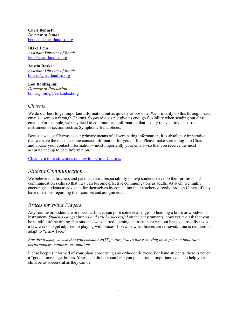**Chris Bennett** *Director of Bands* [bennettc@pearlandisd.org](mailto:bennettc@pearlandisd.org)

**Blake Lein** *Assistant Director of Bands* [leinb@pearlandisd.org](mailto:leinb@pearlandisd.org)

**Austin Brake** *Assistant Director of Bands* [brakea@pearlandisd.org](mailto:brakea@pearlandisd.org)

**Lou Boldrighini** *Director of Percussion* [boldrighinil@pearlandisd.org](mailto:boldrighinil@pearlandisd.org)

### <span id="page-5-0"></span>*Charms*

We do our best to get important information out as quickly as possible. We primarily do this through mass emails—sent out through Charms. Skyward does not give us enough flexibility when sending out class emails. For example, we may need to communicate information that is only relevant to one particular instrument or section such as Symphonic Band oboes.

Because we use Charms as our primary means of disseminating information, it is absolutely imperative that we have the most accurate contact information for you on file. Please make sure to log into Charms and update your contact information—most importantly your email—so that you receive the most accurate and up to date information.

#### [Click here for instructions on how to log into Charms.](https://www.pearlandisd.org/Page/24868)

### <span id="page-5-1"></span>*Student Communication*

We believe that teachers and parents have a responsibility to help students develop their professional communication skills so that they can become effective communicators as adults. As such, we highly encourage students to advocate for themselves by contacting their teachers directly through Canvas if they have questions regarding their courses and assignments.

### <span id="page-5-2"></span>*Braces for Wind Players*

Any routine orthodontic work such as braces can pose some challenges in learning a brass or woodwind instrument. *Students can get braces and still be successful* on their instruments; however, we ask that you be mindful of the timing. For students who started learning an instrument without braces, it usually takes a few weeks to get adjusted to playing with braces. Likewise when braces are removed, time is required to adapt to "a new face."

#### *For this reason, we ask that you consider NOT getting braces nor removing them prior to important performances, contests, or auditions.*

Please keep us informed of your plans concerning any orthodontic work. For band students, there is never a "good" time to get braces. Your band director can help you plan around important events to help your child be as successful as they can be.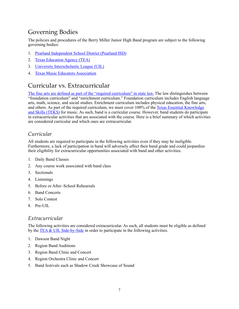## <span id="page-6-0"></span>Governing Bodies

The policies and procedures of the Berry Miller Junior High Band program are subject to the following governing bodies:

- 1. [Pearland Independent School District \(Pearland ISD\)](https://www.pearlandisd.org/)
- 2. [Texas Education Agency \(TEA\)](https://tea.texas.gov/)
- 3. [University Interscholastic League \(UIL\)](https://www.uiltexas.org/)
- 4. [Texas Music Educators Association](https://www.tmea.org/)

### <span id="page-6-1"></span>Curricular vs. Extracurricular

[The fine arts are defined as part of the "required curriculum" in state law.](https://statutes.capitol.texas.gov/Docs/ED/htm/ED.28.htm) The law distinguishes between "foundation curriculum" and "enrichment curriculum." Foundation curriculum includes English language arts, math, science, and social studies. Enrichment curriculum includes physical education, the fine arts, and others. As part of the required curriculum, we must cover 100% of the [Texas Essential Knowledge](https://texreg.sos.state.tx.us/public/readtac$ext.ViewTAC?tac_view=5&ti=19&pt=2&ch=117&sch=B&rl=Y)  [and Skills \(TEKS\)](https://texreg.sos.state.tx.us/public/readtac$ext.ViewTAC?tac_view=5&ti=19&pt=2&ch=117&sch=B&rl=Y) for music. As such, band is a curricular course. However, band students do participate in extracurricular activities that are associated with the course. Here is a brief summary of which activities are considered curricular and which ones are extracurricular.

### <span id="page-6-2"></span>*Curricular*

All students are required to participate in the following activities even if they may be ineligible. Furthermore, a lack of participation in band will adversely affect their band grade and could jeopardize their eligibility for extracurricular opportunities associated with band and other activities.

- 1. Daily Band Classes
- 2. Any course work associated with band class
- 3. Sectionals
- 4. Listenings
- 5. Before or After–School Rehearsals
- 6. Band Concerts
- 7. Solo Contest
- 8. Pre-UIL

### <span id="page-6-3"></span>*Extracurricular*

The following activities are considered extracurricular. As such, all students must be eligible as defined by the TEA  $\&$  UIL Side-by-Side in order to participate in the following activities.

- 1. Dawson Band Night
- 2. Region Band Auditions
- 3. Region Band Clinic and Concert
- 4. Region Orchestra Clinic and Concert
- 5. Band festivals such as Shadow Creek Showcase of Sound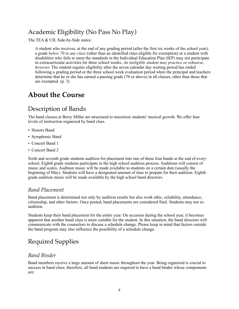## <span id="page-7-0"></span>Academic Eligibility (No Pass No Play)

The TEA & UIL Side-by-Side states:

A student who receives, at the end of any grading period (after the first six weeks of the school year), a grade *below 70 in any class* (other than an identified class eligible for exemption) or a student with disabilities who fails to meet the standards in the Individual Education Plan (IEP) may not participate in extracurricular activities for three school weeks. *An ineligible student may practice or rehearse, however.* The student regains eligibility after the seven calendar day waiting period has ended following a grading period or the three school week evaluation period when the principal and teachers determine that he or she has earned a passing grade (70 or above) in all classes, other than those that are exempted. (p. 3)

## <span id="page-7-1"></span>**About the Course**

## <span id="page-7-2"></span>Description of Bands

The band classes at Berry Miller are structured to maximize students' musical growth. We offer four levels of instruction organized by band class.

- Honors Band
- Symphonic Band
- Concert Band 1
- Concert Band 2

Sixth and seventh grade students audition for placement into one of these four bands at the end of every school. Eighth grade students participate in the high school audition process. Auditions will consist of music and scales. Audition music will be made available to students on a certain date (usually the beginning of May). Students will have a designated amount of time to prepare for their audition. Eighth grade audition music will be made available by the high school band directors.

### <span id="page-7-3"></span>*Band Placement*

Band placement is determined not only by audition results but also work ethic, reliability, attendance, citizenship, and other factors. Once posted, band placements are considered final. Students may not reaudition.

Students keep their band placement for the entire year. On occasion during the school year, it becomes apparent that another band class is more suitable for the student. In this situation, the band directors will communicate with the counselors to discuss a schedule change. Please keep in mind that factors outside the band program may also influence the possibility of a schedule change.

## <span id="page-7-4"></span>Required Supplies

### <span id="page-7-5"></span>*Band Binder*

Band members receive a large amount of sheet music throughout the year. Being organized is crucial to success in band class; therefore, all band students are required to have a band binder whose components are: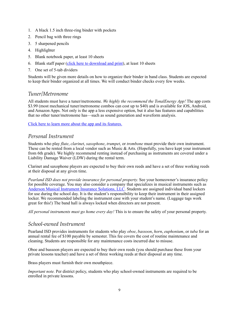- 1. A black 1.5 inch three-ring binder with pockets
- 2. Pencil bag with three rings
- 3. 5 sharpened pencils
- 4. Highlighter
- 5. Blank notebook paper, at least 10 sheets
- 6. Blank staff paper ([click here to download and print\)](https://www.pearlandisd.org/cms/lib/TX01918186/Centricity/Domain/3978/Staff%20Paper_Single%20Staves%2012.pdf), at least 10 sheets
- 7. One set of 5-tab dividers

Students will be given more details on how to organize their binder in band class. Students are expected to keep their binder organized at all times. We will conduct binder checks every few weeks.

### <span id="page-8-0"></span>*Tuner/Metronome*

All students must have a tuner/metronome. *We highly the recommend the TonalEnergy App!* The app costs \$3.99 (most mechanical tuner/metronome combos can cost up to \$40) and is available for iOS, Android, and Amazon Apps. Not only is the app a less expensive option, but it also has features and capabilities that no other tuner/metronome has—such as sound generation and waveform analysis.

[Click here to learn more about the app and its features.](https://www.tonalenergy.com/)

### <span id="page-8-1"></span>*Personal Instrument*

Students who play *flute*, *clarinet*, *saxophone*, *trumpet*, or *trombone* must provide their own instrument. These can be rented from a local vendor such as Music & Arts. (Hopefully, you have kept your instrument from 6th grade). We highly recommend renting instead of purchasing as instruments are covered under a Liability Damage Waiver (LDW) during the rental term.

Clarinet and saxophone players are expected to buy their own reeds and have a set of three working reeds at their disposal at any given time.

*Pearland ISD does not provide insurance for personal property.* See your homeowner's insurance policy for possible coverage. You may also consider a company that specializes in musical instruments such as [Anderson Musical Instrument Insurance Solutions, LLC](https://anderson-group.com/musical-instrument-insurance/). Students are assigned individual band lockers for use during the school day. It is the student's responsibility to keep their instrument in their assigned locker. We recommended labeling the instrument case with your student's name. (Luggage tags work great for this!) The band hall is always locked when directors are not present.

*All personal instruments must go home every day!* This is to ensure the safety of your personal property.

### <span id="page-8-2"></span>*School-owned Instrument*

Pearland ISD provides instruments for students who play *oboe*, *bassoon*, *horn*, *euphonium*, or *tuba* for an annual rental fee of \$100 payable by semester. This fee covers the cost of routine maintenance and cleaning. Students are responsible for any maintenance costs incurred due to misuse.

Oboe and bassoon players are expected to buy their own reeds (you should purchase these from your private lessons teacher) and have a set of three working reeds at their disposal at any time.

Brass players must furnish their own mouthpiece.

*Important note.* Per district policy, students who play school-owned instruments are required to be enrolled in private lessons.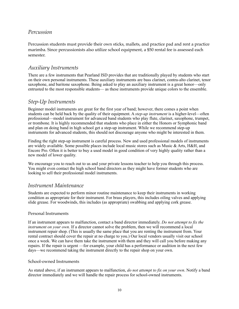### <span id="page-9-0"></span>*Percussion*

Percussion students must provide their own sticks, mallets, and practice pad and rent a practice marimba. Since percussionists also utilize school equipment, a \$50 rental fee is assessed each semester.

### <span id="page-9-1"></span>*Auxiliary Instruments*

There are a few instruments that Pearland ISD provides that are traditionally played by students who start on their own personal instruments. These auxiliary instruments are bass clarinet, contra-alto clarinet, tenor saxophone, and baritone saxophone. Being asked to play an auxiliary instrument is a great honor—only entrusted to the most responsible students— as these instruments provide unique colors to the ensemble.

### <span id="page-9-2"></span>*Step-Up Instruments*

Beginner model instruments are great for the first year of band; however, there comes a point when students can be held back by the quality of their equipment. A *step-up instrument* is a higher-level—often professional—model instrument for advanced band students who play flute, clarinet, saxophone, trumpet, or trombone. It is highly recommended that students who place in either the Honors or Symphonic band and plan on doing band in high school get a step-up instrument. While we recommend step-up instruments for advanced students, this should not discourage anyone who might be interested in them.

Finding the right step-up instrument is careful process. New and used professional models of instruments are widely available. Some possible places include local music stores such as Music & Arts, H&H, and Encore Pro. Often it is better to buy a used model in good condition of very highly quality rather than a new model of lower quality.

We encourage you to reach out to us and your private lessons teacher to help you through this process. You might even contact the high school band directors as they might have former students who are looking to sell their professional model instruments.

### <span id="page-9-3"></span>*Instrument Maintenance*

Students are expected to perform minor routine maintenance to keep their instruments in working condition as appropriate for their instrument. For brass players, this includes oiling valves and applying slide grease. For woodwinds, this includes (as appropriate) swabbing and applying cork grease.

#### Personal Instruments

If an instrument appears to malfunction, contact a band director immediately. *Do not attempt to fix the instrument on your own.* If a director cannot solve the problem, then we will recommend a local instrument repair shop. (This is usually the same place that you are renting the instrument from. Your rental contract should cover the repair at no charge to you.) Our local vendors usually visit our school once a week. We can have them take the instrument with them and they will call you before making any repairs. If the repair is urgent —for example, your child has a performance or audition in the next few days—we recommend taking the instrument directly to the repair shop on your own.

#### School-owned Instruments

As stated above, if an instrument appears to malfunction, *do not attempt to fix on your own*. Notify a band director immediately and we will handle the repair process for school-owned instruments.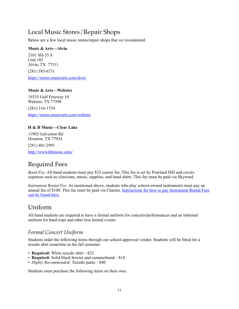## <span id="page-10-0"></span>Local Music Stores/Repair Shops

Below are a few local music stores/repair shops that we recommend.

#### **Music & Arts—Alvin**

2101 SH-35 S Unit 103 Alvin, TX 77511 (281) 585-6731

<https://stores.musicarts.com/alvin>

#### **Music & Arts—Webster**

19335 Gulf Freeway 10 Webster, TX 77598

(281) 316-1724

<https://stores.musicarts.com/webster>

#### **H & H Music—Clear Lake**

11902 Galveston Rd Houston, TX 77034

(281) 481-2991

<http://www.hhmusic.com/>

## <span id="page-10-1"></span>Required Fees

*Band Fee.* All band students must pay \$35 course fee. This fee is set by Pearland ISD and covers expenses such as clinicians, music, supplies, and band shirts. This fee must be paid via Skyward.

*Instrument Rental Fee.* As mentioned above, students who play school-owned instruments must pay an annual fee of \$100. This fee must be paid via Charms. [Instructions for how to pay Instrument Rental Fees](https://www.pearlandisd.org/Page/27281)  [can be found here.](https://www.pearlandisd.org/Page/27281)

### <span id="page-10-2"></span>Uniform

All band students are required to have a formal uniform for concerts/performances and an informal uniform for band trips and other less formal events.

### <span id="page-10-3"></span>*Formal Concert Uniform*

Students order the following items through our school-approved vendor. Students will be fitted for a tuxedo shirt sometime in the fall semester.

- **Required:** White tuxedo shirt—\$22
- **Required:** Solid black bowtie and cummerbund—\$18
- *Highly Recommended:* Tuxedo pants—\$40

Students must purchase the following items on their own.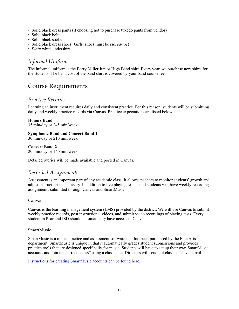- Solid black dress pants (if choosing not to purchase tuxedo pants from vendor)
- Solid black belt
- Solid black socks
- Solid black dress shoes (Girls: shoes must be *closed-toe*)
- *Plain* white undershirt

### <span id="page-11-0"></span>*Informal Uniform*

The informal uniform is the Berry Miller Junior High Band shirt. Every year, we purchase new shirts for the students. The band cost of the band shirt is covered by your band course fee.

### <span id="page-11-1"></span>Course Requirements

### <span id="page-11-2"></span>*Practice Records*

Learning an instrument requires daily and consistent practice. For this reason, students will be submitting daily and weekly practice records via Canvas. Practice expectations are listed below.

#### **Honors Band**

35 min/day or 245 min/week

#### **Symphonic Band and Concert Band 1**

30 min/day or 210 min/week

**Concert Band 2** 20 min/day or 140 min/week

Detailed rubrics will be made available and posted in Canvas.

### <span id="page-11-3"></span>*Recorded Assignments*

Assessment is an important part of any academic class. It allows teachers to monitor students' growth and adjust instruction as necessary. In addition to live playing tests, band students will have weekly recording assignments submitted through Canvas and SmartMusic.

#### Canvas

Canvas is the learning management system (LMS) provided by the district. We will use Canvas to submit weekly practice records, post instructional videos, and submit video recordings of playing tests. Every student in Pearland ISD should automatically have access to Canvas.

#### SmartMusic

SmartMusic is a music practice and assessment software that has been purchased by the Fine Arts department. SmartMusic is unique in that it automatically grades student submissions and provides practice tools that are designed specifically for music. Students will have to set up their own SmartMusic accounts and join the correct "class" using a class code. Directors will send out class codes via email.

[Instructions for creating SmartMusic accounts can be found here.](https://www.pearlandisd.org/Page/23405)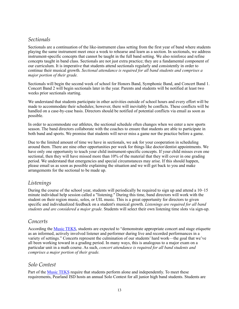### <span id="page-12-0"></span>*Sectionals*

Sectionals are a continuation of the like-instrument class setting from the first year of band where students playing the same instrument meet once a week to rehearse and learn as a section. In sectionals, we address instrument-specific concepts that cannot be taught in the full band setting. We also reinforce and refine concepts taught in band class. Sectionals are not just extra practice; they are a fundamental component of our curriculum. It is imperative that students attend sectionals regularly and consistently in order to continue their musical growth. *Sectional attendance is required for all band students and comprises a major portion of their grade.*

Sectionals will begin the second week of school for Honors Band, Symphonic Band, and Concert Band 1. Concert Band 2 will begin sectionals later in the year. Parents and students will be notified at least two weeks prior sectionals starting.

We understand that students participate in other activities outside of school hours and every effort will be made to accommodate their schedules; however, there will inevitably be conflicts. These conflicts will be handled on a case-by-case basis. Directors should be notified of potential conflicts via email as soon as possible.

In order to accommodate our athletes, the sectional schedule often changes when we enter a new sports season. The band directors collaborate with the coaches to ensure that students are able to participate in both band and sports. We promise that students will never miss a game nor the practice before a game.

Due to the limited amount of time we have in sectionals, we ask for your cooperation in scheduling around them. There are nine other opportunities per week for things like doctor/dentist appointments. We have only one opportunity to teach your child instrument-specific concepts. If your child misses even one sectional, then they will have missed more than 10% of the material that they will cover in one grading period. We understand that emergencies and special circumstances may arise. If this should happen, please email us as soon as possible explaining the situation and we will get back to you and make arrangements for the sectional to be made up.

### <span id="page-12-1"></span>*Listenings*

During the course of the school year, students will periodically be required to sign up and attend a 10–15 minute individual help session called a "listening." During this time, band directors will work with the student on their region music, solos, or UIL music. This is a great opportunity for directors to given specific and individualized feedback on a student's musical growth. *Listenings are required for all band students and are considered a major grade.* Students will select their own listening time slots via sign-up.

### <span id="page-12-2"></span>*Concerts*

According the [Music TEKS,](https://texreg.sos.state.tx.us/public/readtac$ext.ViewTAC?tac_view=5&ti=19&pt=2&ch=117&sch=B&rl=Y) students are expected to "demonstrate appropriate concert and stage etiquette as an informed, actively involved listener and performer during live and recorded performances in a variety of settings." Concerts represent the culmination of our students' hard work—the goal that we've all been working toward in a grading period. In many ways, this is analogous to a major exam on a particular unit in a math course. As such, *concert attendance is required for all band students and comprises a major portion of their grade.*

### <span id="page-12-3"></span>*Solo Contest*

Part of the [Music TEKS](https://texreg.sos.state.tx.us/public/readtac$ext.ViewTAC?tac_view=5&ti=19&pt=2&ch=117&sch=B&rl=Y) require that students perform alone and independently. To meet these requirements, Pearland ISD hosts an annual Solo Contest for all junior high band students. Students are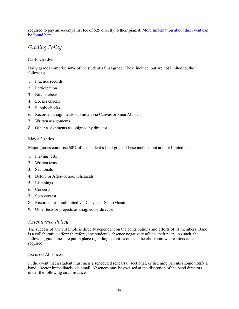required to pay an accompanist fee of \$25 directly to their pianist. [More information about this event can](#page-20-3)  [be found here.](#page-20-3)

### <span id="page-13-0"></span>*Grading Policy*

#### Daily Grades

Daily grades comprise 40% of the student's final grade. These include, but are not limited to, the following.

- 1. Practice records
- 2. Participation
- 3. Binder checks
- 4. Locker checks
- 5. Supply checks
- 6. Recorded assignments submitted via Canvas or SmartMusic
- 7. Written assignments
- 8. Other assignments as assigned by director

#### Major Grades

Major grades comprise 60% of the student's final grade. These include, but are not limited to:

- 1. Playing tests
- 2. Written tests
- 3. Sectionals
- 4. Before or After–School rehearsals
- 5. Listenings
- 6. Concerts
- 7. Solo contest
- 8. Recorded tests submitted via Canvas or SmartMusic
- 9. Other tests or projects as assigned by director

### <span id="page-13-1"></span>*Attendance Policy*

The success of any ensemble is directly dependent on the contributions and efforts of its members. Band is a collaborative effort; therefore, any student's absence negatively affects their peers. As such, the following guidelines are put in place regarding activities outside the classroom where attendance is required.

#### Excused Absences

In the event that a student must miss a scheduled rehearsal, sectional, or listening parents should notify a band director immediately via email. Absences may be excused at the discretion of the band directors under the following circumstances.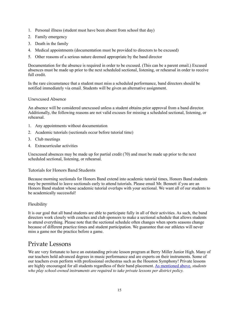- 1. Personal illness (student must have been absent from school that day)
- 2. Family emergency
- 3. Death in the family
- 4. Medical appointments (documentation must be provided to directors to be excused)
- 5. Other reasons of a serious nature deemed appropriate by the band director

Documentation for the absence is required in order to be excused. (This can be a parent email.) Excused absences must be made up prior to the next scheduled sectional, listening, or rehearsal in order to receive full credit.

In the rare circumstance that a student must miss a scheduled performance, band directors should be notified immediately via email. Students will be given an alternative assignment.

#### Unexcused Absence

An absence will be considered unexcused unless a student obtains prior approval from a band director. Additionally, the following reasons are not valid excuses for missing a scheduled sectional, listening, or rehearsal.

- 1. Any appointments without documentation
- 2. Academic tutorials (sectionals occur before tutorial time)
- 3. Club meetings
- 4. Extracurricular activities

Unexcused absences may be made up for partial credit (70) and must be made up prior to the next scheduled sectional, listening, or rehearsal.

#### Tutorials for Honors Band Students

Because morning sectionals for Honors Band extend into academic tutorial times, Honors Band students may be permitted to leave sectionals early to attend tutorials. Please email Mr. Bennett if you are an Honors Band student whose academic tutorial overlaps with your sectional. We want all of our students to be academically successful!

#### Flexibility

It is our goal that all band students are able to participate fully in all of their activities. As such, the band directors work closely with coaches and club sponsors to make a sectional schedule that allows students to attend everything. Please note that the sectional schedule often changes when sports seasons change because of different practice times and student participation. We guarantee that our athletes will never miss a game nor the practice before a game.

### <span id="page-14-0"></span>Private Lessons

We are very fortunate to have an outstanding private lesson program at Berry Miller Junior High. Many of our teachers hold advanced degrees in music performance and are experts on their instruments. Some of our teachers even perform with professional orchestras such as the Houston Symphony! Private lessons are highly encouraged for all students regardless of their band placement. [As mentioned above](#page-8-2), *students who play school-owned instruments are required to take private lessons per district policy.*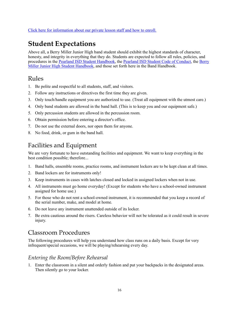## <span id="page-15-0"></span>**Student Expectations**

Above all, a Berry Miller Junior High band student should exhibit the highest standards of character, honesty, and integrity in everything that they do. Students are expected to follow all rules, policies, and procedures in the [Pearland ISD Student Handbook](https://www.pearlandisd.org/Page/18605), the [Pearland ISD Student Code of Conduct](https://www.pearlandisd.org/Page/18605), the [Berry](https://www.pearlandisd.org/Page/26049)  [Miller Junior High Student Handbook](https://www.pearlandisd.org/Page/26049), and those set forth here in the Band Handbook.

### <span id="page-15-1"></span>Rules

- 1. Be polite and respectful to all students, staff, and visitors.
- 2. Follow any instructions or directives the first time they are given.
- 3. Only touch/handle equipment you are authorized to use. (Treat all equipment with the utmost care.)
- 4. Only band students are allowed in the band hall. (This is to keep you and our equipment safe.)
- 5. Only percussion students are allowed in the percussion room.
- 6. Obtain permission before entering a director's office.
- 7. Do not use the external doors, nor open them for anyone.
- 8. No food, drink, or gum in the band hall.

## <span id="page-15-2"></span>Facilities and Equipment

We are very fortunate to have outstanding facilities and equipment. We want to keep everything in the best condition possible; therefore...

- 1. Band halls, ensemble rooms, practice rooms, and instrument lockers are to be kept clean at all times.
- 2. Band lockers are for instruments only!
- 3. Keep instruments in cases with latches closed and locked in assigned lockers when not in use.
- 4. All instruments must go home everyday! (Except for students who have a school-owned instrument assigned for home use.)
- 5. For those who do not rent a school-owned instrument, it is recommended that you keep a record of the serial number, make, and model at home.
- 6. Do not leave any instrument unattended outside of its locker.
- 7. Be extra cautious around the risers. Careless behavior will not be tolerated as it could result in severe injury.

### <span id="page-15-3"></span>Classroom Procedures

The following procedures will help you understand how class runs on a daily basis. Except for very infrequent/special occasions, we will be playing/rehearsing every day.

### <span id="page-15-4"></span>*Entering the Room/Before Rehearsal*

1. Enter the classroom in a silent and orderly fashion and put your backpacks in the designated areas. Then silently go to your locker.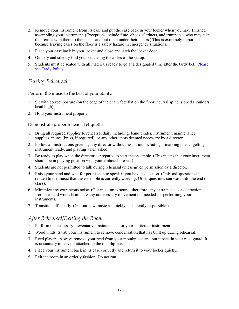- 2. Remove your instrument from its case and put the case back in your locker when you have finished assembling your instrument. (Exceptions include flute, oboes, clarinets, and trumpets—who may take their cases with them to their seats and put them under their chairs.) This is extremely important because leaving cases on the floor is a safety hazard in emergency situations.
- 3. Place your case back in your locker and close and latch the locker door.
- 4. Quickly and silently find your seat using the aisles of the set up.
- 5. Students must be seated with all materials ready to go at a designated time after the tardy bell. Please [see Tardy Policy.](#page-18-1)

### <span id="page-16-0"></span>*During Rehearsal*

Perform the music to the best of your ability.

- 1. Sit with correct posture (on the edge of the chair, feet flat on the floor, neutral spine, sloped shoulders, head high).
- 2. Hold your instrument properly.

Demonstrate proper rehearsal etiquette.

- 1. Bring all required supplies to rehearsal daily including: band binder, instrument, maintenance supplies, mutes (brass, if required), or any other items deemed necessary by a director.
- 2. Follow all instructions given by any director without hesitation including—marking music, getting instrument ready, and playing when asked.
- 3. Be ready to play when the director is prepared to start the ensemble. (This means that your instrument should be in playing position with your embouchure set.)
- 4. Students are not permitted to talk during rehearsal unless given permission by a director.
- 5. Raise your hand and wait for permission to speak if you have a question. (Only ask questions that related to the music that the ensemble is currently working. Other questions can wait until the end of class).
- 6. Minimize any extraneous noise. (Our medium is sound; therefore, any extra noise is a distraction from our hard work. Eliminate any unnecessary movement not needed for performing your instrument).
- 7. Transition efficiently. (Get out new music as quickly and silently as possible.)

#### <span id="page-16-1"></span>*After Rehearsal/Exiting the Room*

- 1. Perform the necessary preventative maintenance for your particular instrument.
- 2. Woodwinds: Swab your instrument to remove condensation that has built up during rehearsal.
- 3. Reed players: Always remove your reed from your mouthpiece and put it back in your reed guard. It is unsanitary to leave it attached to the mouthpiece.
- 4. Place your instrument back in its case correctly and return it to your locker quietly.
- 5. Exit the room in an orderly fashion. Do not run.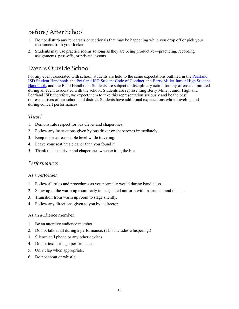## <span id="page-17-0"></span>Before/After School

- 1. Do not disturb any rehearsals or sectionals that may be happening while you drop off or pick your instrument from your locker.
- 2. Students may use practice rooms so long as they are being productive—practicing, recording assignments, pass-offs, or private lessons.

### <span id="page-17-1"></span>Events Outside School

For any event associated with school, students are held to the same expectations outlined in the [Pearland](https://www.pearlandisd.org/Page/18605)  [ISD Student Handbook,](https://www.pearlandisd.org/Page/18605) the [Pearland ISD Student Code of Conduct,](https://www.pearlandisd.org/Page/18605) the [Berry Miller Junior High Student](https://www.pearlandisd.org/Page/26049)  [Handbook,](https://www.pearlandisd.org/Page/26049) and the Band Handbook. Students are subject to disciplinary action for any offense committed during an event associated with the school. Students are representing Berry Miller Junior High and Pearland ISD; therefore, we expect them to take this representation seriously and be the best representatives of our school and district. Students have additional expectations while traveling and during concert performances.

### <span id="page-17-2"></span>*Travel*

- 1. Demonstrate respect for bus driver and chaperones.
- 2. Follow any instructions given by bus driver or chaperones immediately.
- 3. Keep noise at reasonable level while traveling.
- 4. Leave your seat/area cleaner than you found it.
- 5. Thank the bus driver and chaperones when exiting the bus.

#### <span id="page-17-3"></span>*Performances*

#### As a performer.

- 1. Follow all rules and procedures as you normally would during band class.
- 2. Show up to the warm up room early in designated uniform with instrument and music.
- 3. Transition from warm up room to stage silently.
- 4. Follow any directions given to you by a director.

#### As an audience member.

- 1. Be an attentive audience member.
- 2. Do not talk at all during a performance. (This includes whispering.)
- 3. Silence cell phone or any other devices.
- 4. Do not text during a performance.
- 5. Only clap when appropriate.
- 6. Do not shout or whistle.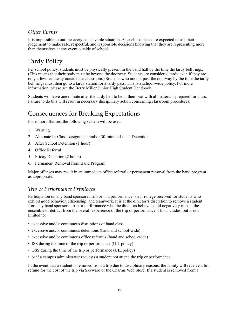### <span id="page-18-0"></span>*Other Events*

It is impossible to outline every conceivable situation. As such, students are expected to use their judgement to make safe, respectful, and responsible decisions knowing that they are representing more than themselves at any event outside of school.

## <span id="page-18-1"></span>Tardy Policy

Per school policy, students must be physically present in the band hall by the time the tardy bell rings. (This means that their body must be beyond the doorway. Students are considered tardy even if they are only a few feet away outside the classroom.) Students who are not past the doorway by the time the tardy bell rings must then go to a tardy station for a tardy pass. This is a school-wide policy. For more information, please see the Berry Miller Junior High Student Handbook.

Students will have one minute after the tardy bell to be in their seat with all materials prepared for class. Failure to do this will result in necessary disciplinary action concerning classroom procedures.

## <span id="page-18-2"></span>Consequences for Breaking Expectations

For minor offenses, the following system will be used.

- 1. Warning
- 2. Alternate In-Class Assignment and/or 30-minute Lunch Detention
- 3. After School Detention (1 hour)
- 4. Office Referral
- 5. Friday Detention (2 hours)
- 6. Permanent Removal from Band Program

Major offenses may result in an immediate office referral or permanent removal from the band program as appropriate.

### <span id="page-18-3"></span>*Trip & Performance Privileges*

Participation on any band sponsored trip or in a performance is a privilege reserved for students who exhibit good behavior, citizenship, and teamwork. It is at the director's discretion to remove a student from any band sponsored trip or performance who the directors believe could negatively impact the ensemble or detract from the overall experience of the trip or performance. This includes, but is not limited to:

- excessive and/or continuous disruptions of band class
- excessive and/or continuous detentions (band and school-wide)
- excessive and/or continuous office referrals (band and school-wide)
- ISS during the time of the trip or performance (UIL policy)
- OSS during the time of the trip or performance (UIL policy)
- or if a campus administrator requests a student not attend the trip or performance.

In the event that a student is removed from a trip due to disciplinary reasons, the family will receive a full refund for the cost of the trip via Skyward or the Charms Web Store. If a student is removed from a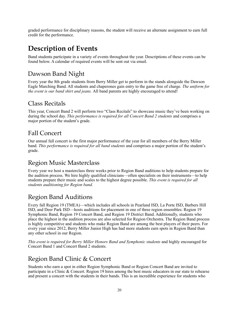graded performance for disciplinary reasons, the student will receive an alternate assignment to earn full credit for the performance.

## <span id="page-19-0"></span>**Description of Events**

Band students participate in a variety of events throughout the year. Descriptions of these events can be found below. A calendar of required events will be sent out via email.

## <span id="page-19-1"></span>Dawson Band Night

Every year the 8th grade students from Berry Miller get to perform in the stands alongside the Dawson Eagle Marching Band. All students and chaperones gain entry to the game free of charge. *The uniform for the event is our band shirt and jeans.* All band parents are highly encouraged to attend!

### <span id="page-19-2"></span>Class Recitals

This year, Concert Band 2 will perform two "Class Recitals" to showcase music they've been working on during the school day. *This performance is required for all Concert Band 2 students* and comprises a major portion of the student's grade.

### <span id="page-19-3"></span>Fall Concert

Our annual fall concert is the first major performance of the year for all members of the Berry Miller band. *This performance is required for all band students* and comprises a major portion of the student's grade.

### <span id="page-19-4"></span>Region Music Masterclass

Every year we host a masterclass three weeks prior to Region Band auditions to help students prepare for the audition process. We hire highly qualified clinicians—often specialists on their instruments—to help students prepare their music and scales to the highest degree possible. *This event is required for all students auditioning for Region band.*

## <span id="page-19-5"></span>Region Band Auditions

Every fall Region 19 (TMEA)—which includes all schools in Pearland ISD, La Porte ISD, Barbers Hill ISD, and Deer Park ISD—hosts auditions for placement in one of three region ensembles: Region 19 Symphonic Band, Region 19 Concert Band, and Region 19 District Band. Additionally, students who place the highest in the audition process are also selected for Region Orchestra. The Region Band process is highly competitive and students who make Region Band are among the best players of their peers. For every year since 2012, Berry Miller Junior High has had more students earn spots in Region Band than any other school in our Region.

*This event is required for Berry Miller Honors Band and Symphonic students* and highly encouraged for Concert Band 1 and Concert Band 2 students.

## <span id="page-19-6"></span>Region Band Clinic & Concert

Students who earn a spot in either Region Symphonic Band or Region Concert Band are invited to participate in a Clinic & Concert. Region 19 hires among the best music educators in our state to rehearse and present a concert with the students in their bands. This is an incredible experience for students who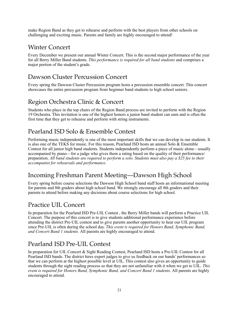make Region Band as they get to rehearse and perform with the best players from other schools on challenging and exciting music. Parents and family are highly encouraged to attend!

### <span id="page-20-0"></span>Winter Concert

Every December we present our annual Winter Concert. This is the second major performance of the year for all Berry Miller Band students. *This performance is required for all band students* and comprises a major portion of the student's grade.

## <span id="page-20-1"></span>Dawson Cluster Percussion Concert

Every spring the Dawson Cluster Percussion program hosts a percussion ensemble concert. This concert showcases the entire percussion program from beginner band students to high school seniors.

## <span id="page-20-2"></span>Region Orchestra Clinic & Concert

Students who place in the top chairs of the Region Band process are invited to perform with the Region 19 Orchestra. This invitation is one of the highest honors a junior band student can earn and is often the first time that they get to rehearse and perform with string instruments.

## <span id="page-20-3"></span>Pearland ISD Solo & Ensemble Contest

Performing music independently is one of the most important skills that we can develop in our students. It is also one of the TEKS for music. For this reason, Pearland ISD hosts an annual Solo & Ensemble Contest for all junior high band students. Students independently perform a piece of music alone—usually accompanied by piano—for a judge who gives them a rating based on the quality of their performance/ preparation. *All band students are required to perform a solo. Students must also pay a \$25 fee to their accompanist for rehearsals and performance.*

## <span id="page-20-4"></span>Incoming Freshman Parent Meeting—Dawson High School

Every spring before course selections the Dawson High School band staff hosts an informational meeting for parents and 8th graders about high school band. We strongly encourage all 8th graders and their parents to attend before making any decisions about course selections for high school.

## <span id="page-20-5"></span>Practice UIL Concert

In preparation for the Pearland ISD Pre-UIL Contest , the Berry Miller bands will perform a Practice UIL Concert. The purpose of this concert is to give students additional performance experience before attending the district Pre-UIL contest and to give parents another opportunity to hear our UIL program since Pre-UIL is often during the school day. *This event is required for Honors Band, Symphonic Band, and Concert Band 1 students.* All parents are highly encouraged to attend.

## <span id="page-20-6"></span>Pearland ISD Pre-UIL Contest

In preparation for UIL Concert & Sight Reading Contest, Pearland ISD hosts a Pre-UIL Contest for all Pearland ISD bands. The district hires expert judges to give us feedback on our bands' performances so that we can perform at the highest possible level at UIL. This contest also gives an opportunity to guide students through the sight reading process so that they are not unfamiliar with it when we get to UIL. *This event is required for Honors Band, Symphonic Band, and Concert Band 1 students.* All parents are highly encouraged to attend.